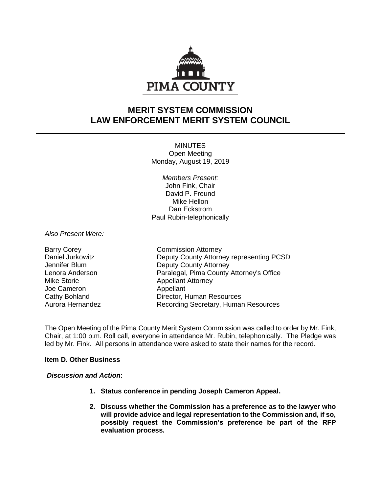

# **MERIT SYSTEM COMMISSION LAW ENFORCEMENT MERIT SYSTEM COUNCIL**

**MINUTES** Open Meeting Monday, August 19, 2019

*Members Present:* John Fink, Chair David P. Freund Mike Hellon Dan Eckstrom Paul Rubin-telephonically

*Also Present Were:*

| <b>Barry Corey</b> |
|--------------------|
| Daniel Jurkowitz   |
| Jennifer Blum      |
| Lenora Anderson    |
| Mike Storie        |
| Joe Cameron        |
| Cathy Bohland      |
| Aurora Hernandez   |

**Commission Attorney** Deputy County Attorney representing PCSD Deputy County Attorney Paralegal, Pima County Attorney's Office Appellant Attorney Appellant Director, Human Resources Recording Secretary, Human Resources

The Open Meeting of the Pima County Merit System Commission was called to order by Mr. Fink, Chair, at 1:00 p.m. Roll call, everyone in attendance Mr. Rubin, telephonically. The Pledge was led by Mr. Fink. All persons in attendance were asked to state their names for the record.

# **Item D. Other Business**

## *Discussion and Action***:**

- **1. Status conference in pending Joseph Cameron Appeal.**
- **2. Discuss whether the Commission has a preference as to the lawyer who will provide advice and legal representation to the Commission and, if so, possibly request the Commission's preference be part of the RFP evaluation process.**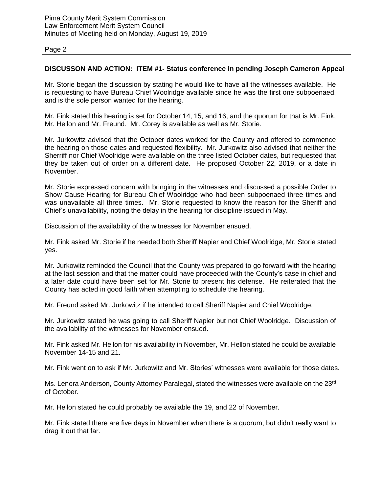## **DISCUSSON AND ACTION: ITEM #1- Status conference in pending Joseph Cameron Appeal**

Mr. Storie began the discussion by stating he would like to have all the witnesses available. He is requesting to have Bureau Chief Woolridge available since he was the first one subpoenaed, and is the sole person wanted for the hearing.

Mr. Fink stated this hearing is set for October 14, 15, and 16, and the quorum for that is Mr. Fink, Mr. Hellon and Mr. Freund. Mr. Corey is available as well as Mr. Storie.

Mr. Jurkowitz advised that the October dates worked for the County and offered to commence the hearing on those dates and requested flexibility. Mr. Jurkowitz also advised that neither the Sherriff nor Chief Woolridge were available on the three listed October dates, but requested that they be taken out of order on a different date. He proposed October 22, 2019, or a date in November.

Mr. Storie expressed concern with bringing in the witnesses and discussed a possible Order to Show Cause Hearing for Bureau Chief Woolridge who had been subpoenaed three times and was unavailable all three times. Mr. Storie requested to know the reason for the Sheriff and Chief's unavailability, noting the delay in the hearing for discipline issued in May.

Discussion of the availability of the witnesses for November ensued.

Mr. Fink asked Mr. Storie if he needed both Sheriff Napier and Chief Woolridge, Mr. Storie stated yes.

Mr. Jurkowitz reminded the Council that the County was prepared to go forward with the hearing at the last session and that the matter could have proceeded with the County's case in chief and a later date could have been set for Mr. Storie to present his defense. He reiterated that the County has acted in good faith when attempting to schedule the hearing.

Mr. Freund asked Mr. Jurkowitz if he intended to call Sheriff Napier and Chief Woolridge.

Mr. Jurkowitz stated he was going to call Sheriff Napier but not Chief Woolridge. Discussion of the availability of the witnesses for November ensued.

Mr. Fink asked Mr. Hellon for his availability in November, Mr. Hellon stated he could be available November 14-15 and 21.

Mr. Fink went on to ask if Mr. Jurkowitz and Mr. Stories' witnesses were available for those dates.

Ms. Lenora Anderson, County Attorney Paralegal, stated the witnesses were available on the 23rd of October.

Mr. Hellon stated he could probably be available the 19, and 22 of November.

Mr. Fink stated there are five days in November when there is a quorum, but didn't really want to drag it out that far.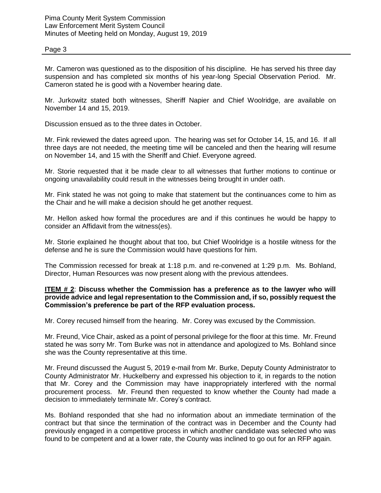Mr. Cameron was questioned as to the disposition of his discipline. He has served his three day suspension and has completed six months of his year-long Special Observation Period. Mr. Cameron stated he is good with a November hearing date.

Mr. Jurkowitz stated both witnesses, Sheriff Napier and Chief Woolridge, are available on November 14 and 15, 2019.

Discussion ensued as to the three dates in October.

Mr. Fink reviewed the dates agreed upon. The hearing was set for October 14, 15, and 16. If all three days are not needed, the meeting time will be canceled and then the hearing will resume on November 14, and 15 with the Sheriff and Chief. Everyone agreed.

Mr. Storie requested that it be made clear to all witnesses that further motions to continue or ongoing unavailability could result in the witnesses being brought in under oath.

Mr. Fink stated he was not going to make that statement but the continuances come to him as the Chair and he will make a decision should he get another request.

Mr. Hellon asked how formal the procedures are and if this continues he would be happy to consider an Affidavit from the witness(es).

Mr. Storie explained he thought about that too, but Chief Woolridge is a hostile witness for the defense and he is sure the Commission would have questions for him.

The Commission recessed for break at 1:18 p.m. and re-convened at 1:29 p.m. Ms. Bohland, Director, Human Resources was now present along with the previous attendees.

## **ITEM # 2**: **Discuss whether the Commission has a preference as to the lawyer who will provide advice and legal representation to the Commission and, if so, possibly request the Commission's preference be part of the RFP evaluation process.**

Mr. Corey recused himself from the hearing. Mr. Corey was excused by the Commission.

Mr. Freund, Vice Chair, asked as a point of personal privilege for the floor at this time. Mr. Freund stated he was sorry Mr. Tom Burke was not in attendance and apologized to Ms. Bohland since she was the County representative at this time.

Mr. Freund discussed the August 5, 2019 e-mail from Mr. Burke, Deputy County Administrator to County Administrator Mr. Huckelberry and expressed his objection to it, in regards to the notion that Mr. Corey and the Commission may have inappropriately interfered with the normal procurement process. Mr. Freund then requested to know whether the County had made a decision to immediately terminate Mr. Corey's contract.

Ms. Bohland responded that she had no information about an immediate termination of the contract but that since the termination of the contract was in December and the County had previously engaged in a competitive process in which another candidate was selected who was found to be competent and at a lower rate, the County was inclined to go out for an RFP again.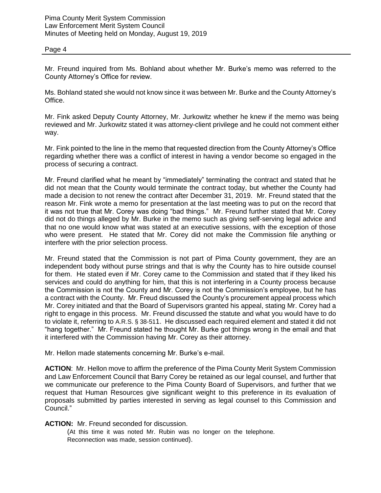Mr. Freund inquired from Ms. Bohland about whether Mr. Burke's memo was referred to the County Attorney's Office for review.

Ms. Bohland stated she would not know since it was between Mr. Burke and the County Attorney's Office.

Mr. Fink asked Deputy County Attorney, Mr. Jurkowitz whether he knew if the memo was being reviewed and Mr. Jurkowitz stated it was attorney-client privilege and he could not comment either way.

Mr. Fink pointed to the line in the memo that requested direction from the County Attorney's Office regarding whether there was a conflict of interest in having a vendor become so engaged in the process of securing a contract.

Mr. Freund clarified what he meant by "immediately" terminating the contract and stated that he did not mean that the County would terminate the contract today, but whether the County had made a decision to not renew the contract after December 31, 2019. Mr. Freund stated that the reason Mr. Fink wrote a memo for presentation at the last meeting was to put on the record that it was not true that Mr. Corey was doing "bad things." Mr. Freund further stated that Mr. Corey did not do things alleged by Mr. Burke in the memo such as giving self-serving legal advice and that no one would know what was stated at an executive sessions, with the exception of those who were present. He stated that Mr. Corey did not make the Commission file anything or interfere with the prior selection process.

Mr. Freund stated that the Commission is not part of Pima County government, they are an independent body without purse strings and that is why the County has to hire outside counsel for them. He stated even if Mr. Corey came to the Commission and stated that if they liked his services and could do anything for him, that this is not interfering in a County process because the Commission is not the County and Mr. Corey is not the Commission's employee, but he has a contract with the County. Mr. Freud discussed the County's procurement appeal process which Mr. Corey initiated and that the Board of Supervisors granted his appeal, stating Mr. Corey had a right to engage in this process. Mr. Freund discussed the statute and what you would have to do to violate it, referring to A.R.S. § 38-511. He discussed each required element and stated it did not "hang together." Mr. Freund stated he thought Mr. Burke got things wrong in the email and that it interfered with the Commission having Mr. Corey as their attorney.

Mr. Hellon made statements concerning Mr. Burke's e-mail.

**ACTION**: Mr. Hellon move to affirm the preference of the Pima County Merit System Commission and Law Enforcement Council that Barry Corey be retained as our legal counsel, and further that we communicate our preference to the Pima County Board of Supervisors, and further that we request that Human Resources give significant weight to this preference in its evaluation of proposals submitted by parties interested in serving as legal counsel to this Commission and Council."

## **ACTION:** Mr. Freund seconded for discussion.

(At this time it was noted Mr. Rubin was no longer on the telephone. Reconnection was made, session continued).